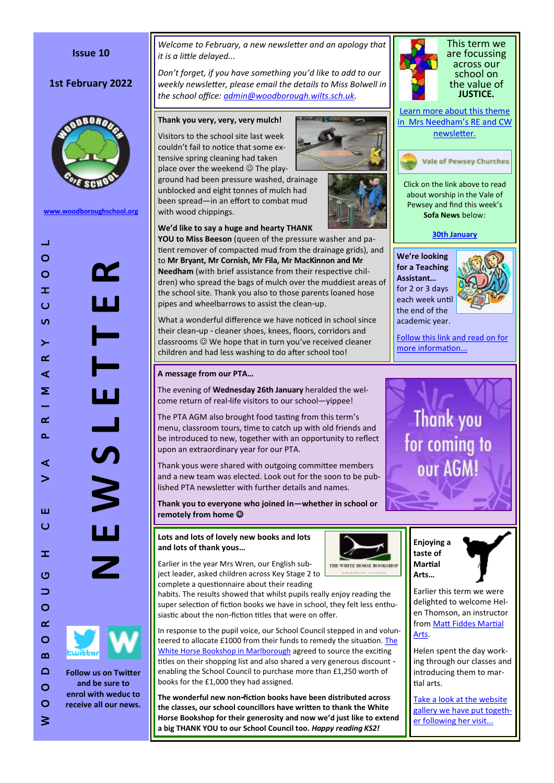## **Issue 10**

# **1st February 2022**



**[www.woodboroughschool.org](https://woodboroughschool.org/)**



*Welcome to February, a new newsletter and an apology that it is a little delayed...*

*Don 't forget, if you have something you 'd like to add to our weekly newsletter, please email the details to Miss Bolwell in the school office: [admin@woodborough.wilts.sch.uk.](mailto:admin@woodborough.wilts.sch.uk)* 

### **Thank you very, very, very mulch!**

Visitors to the school site last week couldn 't fail to notice that some extensive spring cleaning had taken place over the weekend  $\odot$  The play-

ground had been pressure washed, drainage unblocked and eight tonnes of mulch had been spread —in an effort to combat mud with wood chippings.

### **We 'd like to say a huge and hearty THANK**

**YOU to Miss Beeson** (queen of the pressure washer and patient remover of compacted mud from the drainage grids), and to **Mr Bryant, Mr Cornish, Mr Fila, Mr MacKinnon and Mr Needham** (with brief assistance from their respective children) who spread the bags of mulch over the muddiest areas of the school site. Thank you also to those parents loaned hose pipes and wheelbarrows to assist the clean -up.

What a wonderful difference we have noticed in school since their clean-up - cleaner shoes, knees, floors, corridors and classrooms We hope that in turn you 've received cleaner children and had less washing to do after school too!

#### **A message from our PTA …**

The evening of **Wednesday 26th January** heralded the welcome return of real-life visitors to our school—yippee!

The PTA AGM also brought food tasting from this term 's menu, classroom tours, time to catch up with old friends and be introduced to new, together with an opportunity to reflect upon an extraordinary year for our PTA.

Thank yous were shared with outgoing committee members and a new team was elected. Look out for the soon to be published PTA newsletter with further details and names.

**Thank you to everyone who joined in —whether in school or remotely from home** 

### **Lots and lots of lovely new books and lots and lots of thank yous …**

Earlier in the year Mrs Wren, our English subject leader, asked children across Key Stage 2 to complete a questionnaire about their reading

habits. The results showed that whilst pupils really enjoy reading the super selection of fiction books we have in school, they felt less enthusiastic about the non-fiction titles that were on offer.

In response to the pupil voice, our School Council stepped in and volunteered to allocate £1000 from their funds to remedy the situation. The [White Horse Bookshop in Marlborough](https://www.whitehorsebooks.co.uk/) agreed to source the exciting titles on their shopping list and also shared a very generous discount enabling the School Council to purchase more than £1,250 worth of books for the £1,000 they had assigned.

**The wonderful new non -fiction books have been distributed across the classes, our school councillors have written to thank the White Horse Bookshop for their generosity and now we 'd just like to extend a big THANK YOU to our School Council too.** *Happy reading KS2!*





[Learn more about this theme](https://woodboroughschool.org/wp-content/uploads/2022/02/RE-NEWSLETTER-Spring-1-Justice-2022.pdf)  [in Mrs Needham](https://woodboroughschool.org/wp-content/uploads/2022/02/RE-NEWSLETTER-Spring-1-Justice-2022.pdf)'s RE and CW [newsletter.](https://woodboroughschool.org/wp-content/uploads/2022/02/RE-NEWSLETTER-Spring-1-Justice-2022.pdf)

### **Vale of Pewsey Churches**

Click on the link above to read about worship in the Vale of Pewsey and find this week 's **Sofa News** below:

### **[30th January](https://www.valeofpewsey.org/wp-content/plugins/pdf-poster/pdfjs/web/viewer.html?file=https://www.valeofpewsey.org/wp-content/uploads/2022/01/Sofa-news-30th-Jan.pdf&download=true&print=1&openfile=false)**

**We 're looking for a Teaching Assistant…**  for 2 or 3 days each week until the end of the academic year.



[Follow this link and read on for](https://woodboroughschool.org/wp-content/uploads/2022/01/1-to-1Teaching-Assistant-Year-4-February-2022.pdf)  [more information...](https://woodboroughschool.org/wp-content/uploads/2022/01/1-to-1Teaching-Assistant-Year-4-February-2022.pdf)





Earlier this term we were delighted to welcome Helen Thomson, an instructor from [Matt Fiddes Martial](https://www.mattfiddes.com/)  [Arts.](https://www.mattfiddes.com/) 

**taste of Martial Arts …**

THE WHITE HORSE BOOKSHOP

Helen spent the day working through our classes and introducing them to martial arts.

[Take a look at the website](https://woodboroughschool.org/gallery/a-taste-of-martial-arts-17-01-22/)  [gallery we have put togeth](https://woodboroughschool.org/gallery/a-taste-of-martial-arts-17-01-22/)[er following her visit...](https://woodboroughschool.org/gallery/a-taste-of-martial-arts-17-01-22/)